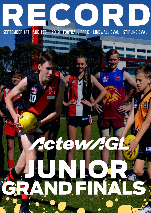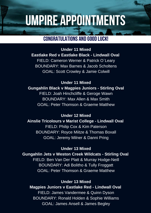## UMPIRE APPOINTMENTS

### CONGRATULATIONS AND GOOD LUCK!

**Under 11 Mixed Eastlake Red v Eastlake Black - Lindwall Oval** FIELD: Cameron Werner & Patrick O`Leary BOUNDARY: Max Barnes & Jacob Scholtens GOAL: Scott Crowley & Jamie Colwill

**Under 11 Mixed Gungahlin Black v Magpies Juniors - Stirling Oval** FIELD: Joah Hinchcliffe & Geroge Wawn BOUNDARY: Max Allen & Max Smith GOAL: Peter Thomson & Graeme Matthew

**Under 12 Mixed Ainslie Tricolours v Marist College - Lindwall Oval** FIELD: Philip Cox & Kim Paterson BOUNDARY: Royce Miitze & Thomas Boxall GOAL: Jeremy Milner & Danni Pring

**Under 13 Mixed**

**Gungahlin Jets v Weston Creek Wildcats - Stirling Oval**

FIELD: Ben Van Der Platt & Murray Hodge-Neill BOUNDARY: Adi Bolitho & Tully Froggatt GOAL: Peter Thomson & Graeme Matthew

#### **Under 13 Mixed**

**Magpies Juniors v Eastlake Red - Lindwall Oval** FIELD: James Vandermee & Quinn Dyson BOUNDARY: Ronald Holden & Sophie Williams GOAL: James Ansell & James Begley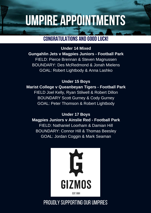# UMPIRE APPOINTMENTS

### CONGRATULATIONS AND GOOD LUCK!

**Under 14 Mixed Gungahlin Jets v Magpies Juniors - Football Park** FIELD: Pierce Brennan & Steven Magnussen BOUNDARY: Des McRedmond & Jonah Mielens GOAL: Robert Lightbody & Anna Lashko

**Under 15 Boys Marist College v Queanbeyan Tigers - Football Park** FIELD Joel Kelly, Ryan Stilwell & Robert Dillon BOUNDARY Scott Gurney & Cody Gurney GOAL: Peter Thomson & Robert Lightbody

#### **Under 17 Boys**

#### **Magpies Juniors v Ainslie Red - Football Park**

FIELD: Nathaniel Loorham & Damian Hill BOUNDARY: Connor Hill & Thomas Beesley GOAL: Jordan Coggin & Mark Seaman



## PROUDLY SUPPORTING OUR UMPIRES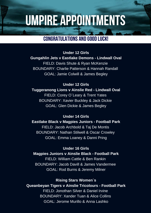## UMPIRE APPOINTMENTS

### CONGRATULATIONS AND GOOD LUCK!

**Under 12 Girls Gungahlin Jets v Eastlake Demons - Lindwall Oval** FIELD: Davis Shute & Ryan McKenzie BOUNDARY: Charlie Patterson & Hannah Randall GOAL: Jamie Colwill & James Begley

**Under 12 Girls Tuggeranong Lions v Ainslie Red - Lindwall Oval** FIELD: Corey O`Leary & Trent Yates BOUNDARY: Xavier Buckley & Jack Dickie GOAL: Glen Dickie & James Begley

**Under 14 Girls Eastlake Black v Magpies Juniors - Football Park** FIELD: Jacob Archbold & Taj De Montis BOUNDARY: Nathan Stilwell & Oscar Crowley GOAL: Emma Loaney & Danni Pring

**Under 16 Girls Magpies Juniors v Ainslie Black - Football Park** FIELD: William Cattle & Ben Rankin BOUNDARY: Jacob Davill & James Vandermee GOAL: Rod Burns & Jeremy Milner

**Rising Stars Women`s**

**Queanbeyan Tigers v Ainslie Tricolours - Football Park** FIELD: Jonothan Silver & Daniel Irvine BOUNDARY: Xander Tuan & Alice Collins GOAL: Jerome Murillo & Anna Lashko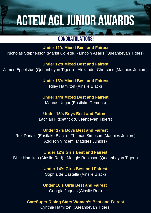## ACTEW AGLJUNIOR AWARDS

### CONGRATULATIONS!

**Under 11's Mixed Best and Fairest** Nicholas Stephenson (Marist College) - Lincoln Asaris (Queanbeyan Tigers)

**Under 12's Mixed Best and Fairest** James Eppelstun (Queanbeyan Tigers) - Alexander Churches (Magpies Juniors)

> **Under 13's Mixed Best and Fairest** Riley Hamilton (Ainslie Black)

> **Under 14's Mixed Best and Fairest** Marcus Ungar (Eastlake Demons)

**Under 15's Boys Best and Fairest** Lachlan Fitzpatrick (Queanbeyan Tigers)

#### **Under 17's Boys Best and Fairest**

Rex Donald (Eastlake Black) - Thomas Simpson (Magpies Juniors) Addison Vincent (Magpies Juniors)

#### **Under 12's Girls Best and Fairest**

Billie Hamilton (Ainslie Red) - Maggie Robinson (Queanbeyan Tigers)

**Under 14's Girls Best and Fairest** Sophia de Castella (Ainslie Black)

**Under 16's Girls Best and Fairest** Georgia Jaques (Ainslie Red)

**CareSuper Rising Stars Women's Best and Fairest**

Cynthia Hamilton (Queanbeyan Tigers)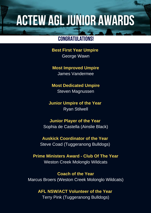## ACTEW AGLJUNIOR AWARDS

### CONGRATULATIONS!

**Best First Year Umpire** George Wawn

#### **Most Improved Umpire**

James Vandermee

#### **Most Dedicated Umpire**

Steven Magnussen

#### **Junior Umpire of the Year** Ryan Stilwell

#### **Junior Player of the Year**

Sophia de Castella (Ainslie Black)

#### **Auskick Coordinator of the Year** Steve Coad (Tuggeranong Bulldogs)

#### **Prime Ministers Award - Club Of The Year** Weston Creek Molonglo Wildcats

**Coach of the Year** Marcus Broers (Weston Creek Molonglo Wildcats)

#### **AFL NSW/ACT Volunteer of the Year**

Terry Pink (Tuggeranong Bulldogs)